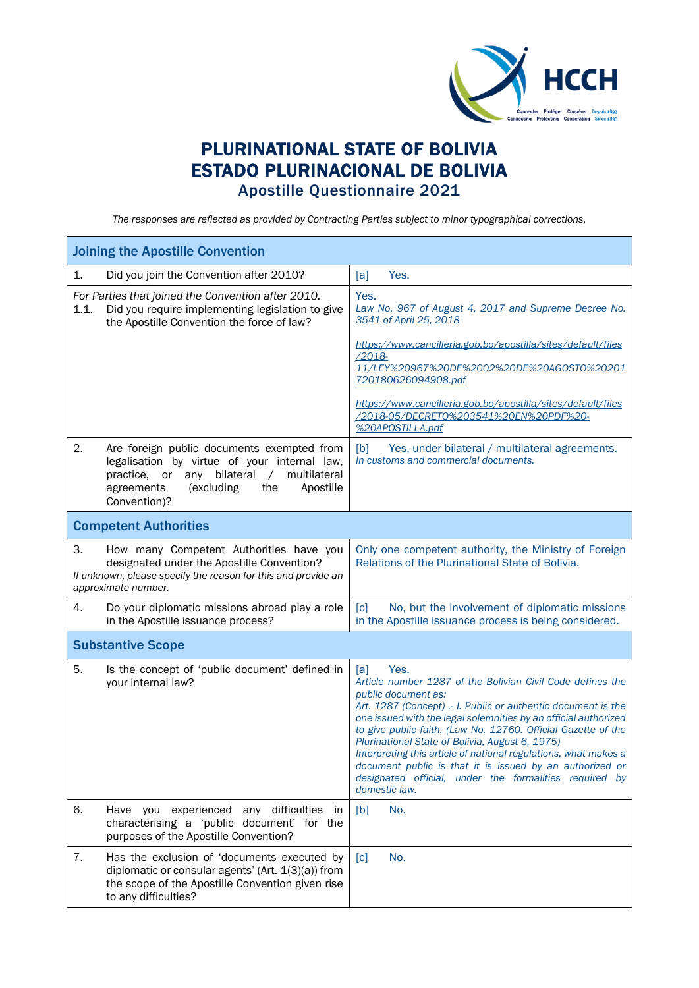

## PLURINATIONAL STATE OF BOLIVIA ESTADO PLURINACIONAL DE BOLIVIA Apostille Questionnaire 2021

*The responses are reflected as provided by Contracting Parties subject to minor typographical corrections.*

| <b>Joining the Apostille Convention</b>                                                                                                                                                                                            |                                                                                                                                                                                                                                                                                                                                                                                                                                                                                                                                                                    |  |  |
|------------------------------------------------------------------------------------------------------------------------------------------------------------------------------------------------------------------------------------|--------------------------------------------------------------------------------------------------------------------------------------------------------------------------------------------------------------------------------------------------------------------------------------------------------------------------------------------------------------------------------------------------------------------------------------------------------------------------------------------------------------------------------------------------------------------|--|--|
| 1.<br>Did you join the Convention after 2010?                                                                                                                                                                                      | Yes.<br>[a]                                                                                                                                                                                                                                                                                                                                                                                                                                                                                                                                                        |  |  |
| For Parties that joined the Convention after 2010.<br>Did you require implementing legislation to give<br>1.1.<br>the Apostille Convention the force of law?                                                                       | Yes.<br>Law No. 967 of August 4, 2017 and Supreme Decree No.<br>3541 of April 25, 2018                                                                                                                                                                                                                                                                                                                                                                                                                                                                             |  |  |
|                                                                                                                                                                                                                                    | https://www.cancilleria.gob.bo/apostilla/sites/default/files<br>$/2018 -$<br>11/LEY%20967%20DE%2002%20DE%20AG0ST0%20201<br>720180626094908.pdf                                                                                                                                                                                                                                                                                                                                                                                                                     |  |  |
|                                                                                                                                                                                                                                    | https://www.cancilleria.gob.bo/apostilla/sites/default/files<br>/2018-05/DECRET0%203541%20EN%20PDF%20-<br>%20APOSTILLA.pdf                                                                                                                                                                                                                                                                                                                                                                                                                                         |  |  |
| 2.<br>Are foreign public documents exempted from<br>legalisation by virtue of your internal law,<br>bilateral<br>multilateral<br>practice, or<br>any<br>$\sqrt{2}$<br>agreements<br>(excluding<br>the<br>Apostille<br>Convention)? | Yes, under bilateral / multilateral agreements.<br>[b]<br>In customs and commercial documents.                                                                                                                                                                                                                                                                                                                                                                                                                                                                     |  |  |
| <b>Competent Authorities</b>                                                                                                                                                                                                       |                                                                                                                                                                                                                                                                                                                                                                                                                                                                                                                                                                    |  |  |
| 3.<br>How many Competent Authorities have you<br>designated under the Apostille Convention?<br>If unknown, please specify the reason for this and provide an<br>approximate number.                                                | Only one competent authority, the Ministry of Foreign<br>Relations of the Plurinational State of Bolivia.                                                                                                                                                                                                                                                                                                                                                                                                                                                          |  |  |
| 4.<br>Do your diplomatic missions abroad play a role<br>in the Apostille issuance process?                                                                                                                                         | No, but the involvement of diplomatic missions<br>$\lceil c \rceil$<br>in the Apostille issuance process is being considered.                                                                                                                                                                                                                                                                                                                                                                                                                                      |  |  |
| <b>Substantive Scope</b>                                                                                                                                                                                                           |                                                                                                                                                                                                                                                                                                                                                                                                                                                                                                                                                                    |  |  |
| 5.<br>Is the concept of 'public document' defined in<br>your internal law?                                                                                                                                                         | [a]<br>Yes.<br>Article number 1287 of the Bolivian Civil Code defines the<br>public document as:<br>Art. 1287 (Concept) .- I. Public or authentic document is the<br>one issued with the legal solemnities by an official authorized<br>to give public faith. (Law No. 12760. Official Gazette of the<br>Plurinational State of Bolivia, August 6, 1975)<br>Interpreting this article of national regulations, what makes a<br>document public is that it is issued by an authorized or<br>designated official, under the formalities required by<br>domestic law. |  |  |
| 6.<br>Have you experienced any difficulties in<br>characterising a 'public document' for the<br>purposes of the Apostille Convention?                                                                                              | No.<br>[b]                                                                                                                                                                                                                                                                                                                                                                                                                                                                                                                                                         |  |  |
| 7.<br>Has the exclusion of 'documents executed by<br>diplomatic or consular agents' (Art. 1(3)(a)) from<br>the scope of the Apostille Convention given rise<br>to any difficulties?                                                | No.<br>$\lceil c \rceil$                                                                                                                                                                                                                                                                                                                                                                                                                                                                                                                                           |  |  |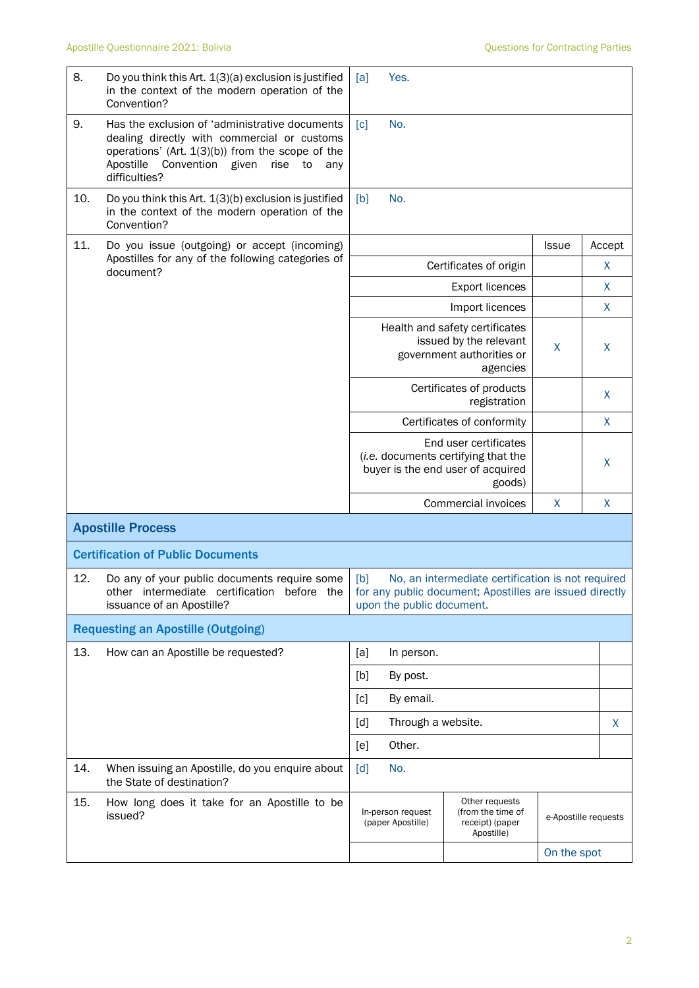| 8.  | Do you think this Art. 1(3)(a) exclusion is justified<br>in the context of the modern operation of the<br>Convention?                                                                                                          | Yes.<br>[a]                                                                                                                                                                                                |                                                                                                             |                      |        |
|-----|--------------------------------------------------------------------------------------------------------------------------------------------------------------------------------------------------------------------------------|------------------------------------------------------------------------------------------------------------------------------------------------------------------------------------------------------------|-------------------------------------------------------------------------------------------------------------|----------------------|--------|
| 9.  | Has the exclusion of 'administrative documents<br>dealing directly with commercial or customs<br>operations' (Art. $1(3)(b)$ ) from the scope of the<br>Apostille<br>Convention<br>given<br>rise<br>to<br>any<br>difficulties? | No.<br>$\lceil c \rceil$                                                                                                                                                                                   |                                                                                                             |                      |        |
| 10. | Do you think this Art. 1(3)(b) exclusion is justified<br>in the context of the modern operation of the<br>Convention?                                                                                                          | No.<br>[b]                                                                                                                                                                                                 |                                                                                                             |                      |        |
| 11. | Do you issue (outgoing) or accept (incoming)                                                                                                                                                                                   |                                                                                                                                                                                                            |                                                                                                             | <b>Issue</b>         | Accept |
|     | Apostilles for any of the following categories of<br>document?                                                                                                                                                                 |                                                                                                                                                                                                            | Certificates of origin                                                                                      |                      | X      |
|     |                                                                                                                                                                                                                                |                                                                                                                                                                                                            | <b>Export licences</b>                                                                                      |                      | X      |
|     |                                                                                                                                                                                                                                |                                                                                                                                                                                                            | Import licences                                                                                             |                      | X      |
|     |                                                                                                                                                                                                                                |                                                                                                                                                                                                            | Health and safety certificates<br>issued by the relevant<br>government authorities or<br>agencies           | X                    | X      |
|     |                                                                                                                                                                                                                                |                                                                                                                                                                                                            | Certificates of products<br>registration                                                                    |                      | X      |
|     |                                                                                                                                                                                                                                |                                                                                                                                                                                                            | Certificates of conformity                                                                                  |                      | X      |
|     |                                                                                                                                                                                                                                |                                                                                                                                                                                                            | End user certificates<br>(i.e. documents certifying that the<br>buyer is the end user of acquired<br>goods) |                      | X      |
|     |                                                                                                                                                                                                                                |                                                                                                                                                                                                            | <b>Commercial invoices</b>                                                                                  | X                    | X      |
|     | <b>Apostille Process</b>                                                                                                                                                                                                       |                                                                                                                                                                                                            |                                                                                                             |                      |        |
|     | <b>Certification of Public Documents</b>                                                                                                                                                                                       |                                                                                                                                                                                                            |                                                                                                             |                      |        |
| 12. | Do any of your public documents require some<br>issuance of an Apostille?                                                                                                                                                      | No, an intermediate certification is not required<br>[b]<br>other intermediate certification before the $\frac{1}{2}$ for any public document; Apostilles are issued directly<br>upon the public document. |                                                                                                             |                      |        |
|     | <b>Requesting an Apostille (Outgoing)</b>                                                                                                                                                                                      |                                                                                                                                                                                                            |                                                                                                             |                      |        |
| 13. | How can an Apostille be requested?                                                                                                                                                                                             | [a]<br>In person.                                                                                                                                                                                          |                                                                                                             |                      |        |
|     |                                                                                                                                                                                                                                | [b]<br>By post.                                                                                                                                                                                            |                                                                                                             |                      |        |
|     |                                                                                                                                                                                                                                | By email.<br>[c]                                                                                                                                                                                           |                                                                                                             |                      |        |
|     |                                                                                                                                                                                                                                | Through a website.<br>[d]                                                                                                                                                                                  |                                                                                                             |                      | X.     |
|     |                                                                                                                                                                                                                                | Other.<br>[e]                                                                                                                                                                                              |                                                                                                             |                      |        |
| 14. | When issuing an Apostille, do you enquire about<br>the State of destination?                                                                                                                                                   | No.<br>$\lceil d \rceil$                                                                                                                                                                                   |                                                                                                             |                      |        |
| 15. | How long does it take for an Apostille to be<br>issued?                                                                                                                                                                        | Other requests<br>(from the time of<br>In-person request<br>(paper Apostille)<br>receipt) (paper<br>Apostille)                                                                                             |                                                                                                             | e-Apostille requests |        |
|     |                                                                                                                                                                                                                                |                                                                                                                                                                                                            |                                                                                                             | On the spot          |        |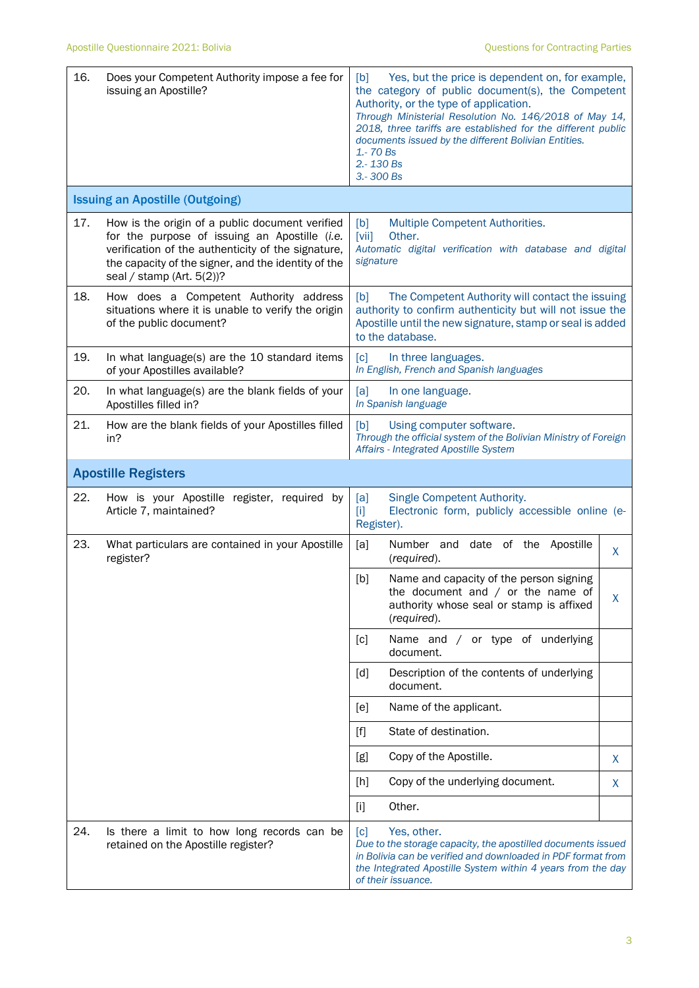| 16. | Does your Competent Authority impose a fee for<br>issuing an Apostille?                                                                                                                                                                       | Yes, but the price is dependent on, for example,<br>[b]<br>the category of public document(s), the Competent<br>Authority, or the type of application.<br>Through Ministerial Resolution No. 146/2018 of May 14,<br>2018, three tariffs are established for the different public<br>documents issued by the different Bolivian Entities.<br>1.-70 Bs<br>2.-130 Bs<br>3.-300 Bs |  |  |  |
|-----|-----------------------------------------------------------------------------------------------------------------------------------------------------------------------------------------------------------------------------------------------|--------------------------------------------------------------------------------------------------------------------------------------------------------------------------------------------------------------------------------------------------------------------------------------------------------------------------------------------------------------------------------|--|--|--|
|     | <b>Issuing an Apostille (Outgoing)</b>                                                                                                                                                                                                        |                                                                                                                                                                                                                                                                                                                                                                                |  |  |  |
| 17. | How is the origin of a public document verified<br>for the purpose of issuing an Apostille (i.e.<br>verification of the authenticity of the signature,<br>the capacity of the signer, and the identity of the<br>seal / stamp (Art. $5(2)$ )? | Multiple Competent Authorities.<br>[b]<br>$\left[\text{vii}\right]$<br>Other.<br>Automatic digital verification with database and digital<br>signature                                                                                                                                                                                                                         |  |  |  |
| 18. | How does a Competent Authority address<br>situations where it is unable to verify the origin<br>of the public document?                                                                                                                       | The Competent Authority will contact the issuing<br>[b]<br>authority to confirm authenticity but will not issue the<br>Apostille until the new signature, stamp or seal is added<br>to the database.                                                                                                                                                                           |  |  |  |
| 19. | In what language(s) are the 10 standard items<br>of your Apostilles available?                                                                                                                                                                | $\lceil c \rceil$<br>In three languages.<br>In English, French and Spanish languages                                                                                                                                                                                                                                                                                           |  |  |  |
| 20. | In what language(s) are the blank fields of your<br>Apostilles filled in?                                                                                                                                                                     | [a]<br>In one language.<br>In Spanish language                                                                                                                                                                                                                                                                                                                                 |  |  |  |
| 21. | How are the blank fields of your Apostilles filled<br>in?                                                                                                                                                                                     | [b]<br>Using computer software.<br>Through the official system of the Bolivian Ministry of Foreign<br>Affairs - Integrated Apostille System                                                                                                                                                                                                                                    |  |  |  |
|     | <b>Apostille Registers</b>                                                                                                                                                                                                                    |                                                                                                                                                                                                                                                                                                                                                                                |  |  |  |
| 22. | How is your Apostille register, required by<br>Article 7, maintained?                                                                                                                                                                         | Single Competent Authority.<br>[a]<br>Electronic form, publicly accessible online (e-<br>Тij<br>Register).                                                                                                                                                                                                                                                                     |  |  |  |
| 23. | What particulars are contained in your Apostille<br>register?                                                                                                                                                                                 | [a]<br>Number and date of the Apostille<br>X<br>(required).                                                                                                                                                                                                                                                                                                                    |  |  |  |
|     |                                                                                                                                                                                                                                               | Name and capacity of the person signing<br>[b]<br>the document and $/$ or the name of<br>X<br>authority whose seal or stamp is affixed<br>(required).                                                                                                                                                                                                                          |  |  |  |
|     |                                                                                                                                                                                                                                               | Name and / or type of underlying<br>[c]<br>document.                                                                                                                                                                                                                                                                                                                           |  |  |  |
|     |                                                                                                                                                                                                                                               | Description of the contents of underlying<br>[d]<br>document.                                                                                                                                                                                                                                                                                                                  |  |  |  |
|     |                                                                                                                                                                                                                                               | [e]<br>Name of the applicant.                                                                                                                                                                                                                                                                                                                                                  |  |  |  |
|     |                                                                                                                                                                                                                                               | State of destination.<br>$[f]$                                                                                                                                                                                                                                                                                                                                                 |  |  |  |
|     |                                                                                                                                                                                                                                               | Copy of the Apostille.<br>[g]<br>X                                                                                                                                                                                                                                                                                                                                             |  |  |  |
|     |                                                                                                                                                                                                                                               | Copy of the underlying document.<br>$[h]$<br>X                                                                                                                                                                                                                                                                                                                                 |  |  |  |
|     |                                                                                                                                                                                                                                               | $[1]$<br>Other.                                                                                                                                                                                                                                                                                                                                                                |  |  |  |
| 24. | Is there a limit to how long records can be<br>retained on the Apostille register?                                                                                                                                                            | [c]<br>Yes, other.<br>Due to the storage capacity, the apostilled documents issued<br>in Bolivia can be verified and downloaded in PDF format from<br>the Integrated Apostille System within 4 years from the day<br>of their issuance.                                                                                                                                        |  |  |  |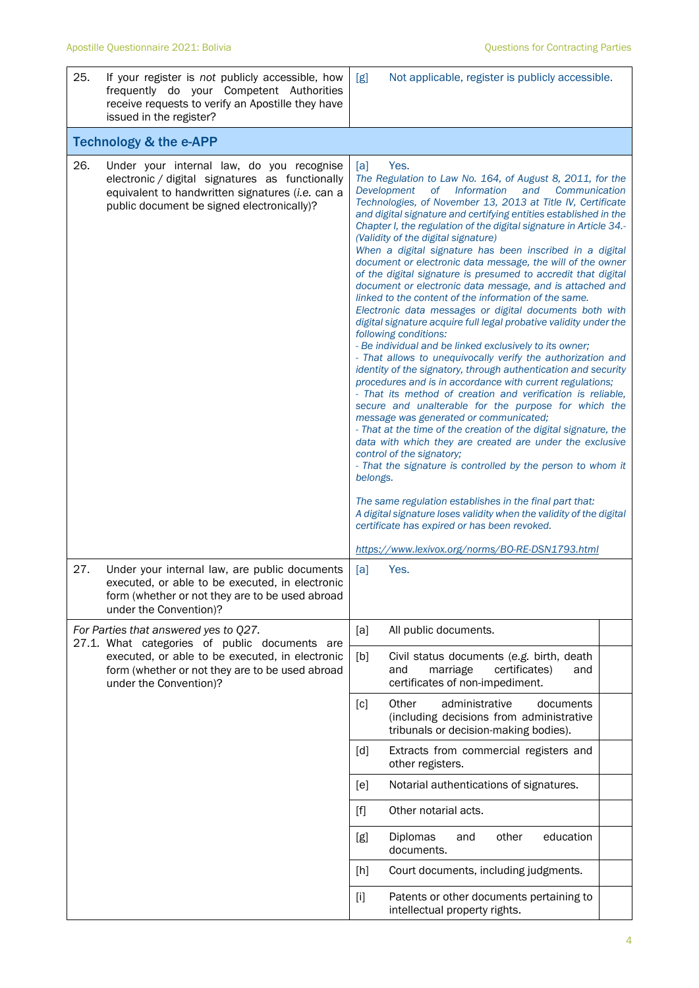| 25. | If your register is not publicly accessible, how<br>frequently do your Competent Authorities<br>receive requests to verify an Apostille they have<br>issued in the register?                                           | [g]                                                                                                                                                                                                                                                                                                                                                                                                                                                                                                                                                                                                                                                                                                                                                                                                                                                                                                                                                                                                                                                                                                                                                                                                                                                                                                                                                                                                                                                                                                                                                                                                                                                                                                                                                                | Not applicable, register is publicly accessible.                                                                          |  |
|-----|------------------------------------------------------------------------------------------------------------------------------------------------------------------------------------------------------------------------|--------------------------------------------------------------------------------------------------------------------------------------------------------------------------------------------------------------------------------------------------------------------------------------------------------------------------------------------------------------------------------------------------------------------------------------------------------------------------------------------------------------------------------------------------------------------------------------------------------------------------------------------------------------------------------------------------------------------------------------------------------------------------------------------------------------------------------------------------------------------------------------------------------------------------------------------------------------------------------------------------------------------------------------------------------------------------------------------------------------------------------------------------------------------------------------------------------------------------------------------------------------------------------------------------------------------------------------------------------------------------------------------------------------------------------------------------------------------------------------------------------------------------------------------------------------------------------------------------------------------------------------------------------------------------------------------------------------------------------------------------------------------|---------------------------------------------------------------------------------------------------------------------------|--|
|     | <b>Technology &amp; the e-APP</b>                                                                                                                                                                                      |                                                                                                                                                                                                                                                                                                                                                                                                                                                                                                                                                                                                                                                                                                                                                                                                                                                                                                                                                                                                                                                                                                                                                                                                                                                                                                                                                                                                                                                                                                                                                                                                                                                                                                                                                                    |                                                                                                                           |  |
| 26. | Under your internal law, do you recognise<br>electronic / digital signatures as functionally<br>equivalent to handwritten signatures (i.e. can a<br>public document be signed electronically)?                         | Yes.<br>[a]<br>The Regulation to Law No. 164, of August 8, 2011, for the<br>of Information<br>Development<br>and<br>Communication<br>Technologies, of November 13, 2013 at Title IV, Certificate<br>and digital signature and certifying entities established in the<br>Chapter I, the regulation of the digital signature in Article 34.-<br>(Validity of the digital signature)<br>When a digital signature has been inscribed in a digital<br>document or electronic data message, the will of the owner<br>of the digital signature is presumed to accredit that digital<br>document or electronic data message, and is attached and<br>linked to the content of the information of the same.<br>Electronic data messages or digital documents both with<br>digital signature acquire full legal probative validity under the<br>following conditions:<br>- Be individual and be linked exclusively to its owner;<br>- That allows to unequivocally verify the authorization and<br>identity of the signatory, through authentication and security<br>procedures and is in accordance with current regulations;<br>- That its method of creation and verification is reliable,<br>secure and unalterable for the purpose for which the<br>message was generated or communicated;<br>- That at the time of the creation of the digital signature, the<br>data with which they are created are under the exclusive<br>control of the signatory;<br>- That the signature is controlled by the person to whom it<br>belongs.<br>The same regulation establishes in the final part that:<br>A digital signature loses validity when the validity of the digital<br>certificate has expired or has been revoked.<br>https://www.lexivox.org/norms/BO-RE-DSN1793.html |                                                                                                                           |  |
| 27. | Under your internal law, are public documents<br>executed, or able to be executed, in electronic<br>form (whether or not they are to be used abroad<br>under the Convention)?                                          | [a]                                                                                                                                                                                                                                                                                                                                                                                                                                                                                                                                                                                                                                                                                                                                                                                                                                                                                                                                                                                                                                                                                                                                                                                                                                                                                                                                                                                                                                                                                                                                                                                                                                                                                                                                                                | Yes.                                                                                                                      |  |
|     | For Parties that answered yes to Q27.<br>27.1. What categories of public documents are<br>executed, or able to be executed, in electronic<br>form (whether or not they are to be used abroad<br>under the Convention)? | [a]                                                                                                                                                                                                                                                                                                                                                                                                                                                                                                                                                                                                                                                                                                                                                                                                                                                                                                                                                                                                                                                                                                                                                                                                                                                                                                                                                                                                                                                                                                                                                                                                                                                                                                                                                                | All public documents.                                                                                                     |  |
|     |                                                                                                                                                                                                                        | [b]                                                                                                                                                                                                                                                                                                                                                                                                                                                                                                                                                                                                                                                                                                                                                                                                                                                                                                                                                                                                                                                                                                                                                                                                                                                                                                                                                                                                                                                                                                                                                                                                                                                                                                                                                                | Civil status documents (e.g. birth, death<br>and<br>marriage<br>certificates)<br>and<br>certificates of non-impediment.   |  |
|     |                                                                                                                                                                                                                        | [c]                                                                                                                                                                                                                                                                                                                                                                                                                                                                                                                                                                                                                                                                                                                                                                                                                                                                                                                                                                                                                                                                                                                                                                                                                                                                                                                                                                                                                                                                                                                                                                                                                                                                                                                                                                | Other<br>administrative<br>documents<br>(including decisions from administrative<br>tribunals or decision-making bodies). |  |
|     |                                                                                                                                                                                                                        | [d]                                                                                                                                                                                                                                                                                                                                                                                                                                                                                                                                                                                                                                                                                                                                                                                                                                                                                                                                                                                                                                                                                                                                                                                                                                                                                                                                                                                                                                                                                                                                                                                                                                                                                                                                                                | Extracts from commercial registers and<br>other registers.                                                                |  |
|     |                                                                                                                                                                                                                        | [e]                                                                                                                                                                                                                                                                                                                                                                                                                                                                                                                                                                                                                                                                                                                                                                                                                                                                                                                                                                                                                                                                                                                                                                                                                                                                                                                                                                                                                                                                                                                                                                                                                                                                                                                                                                | Notarial authentications of signatures.                                                                                   |  |
|     |                                                                                                                                                                                                                        | $[f]$                                                                                                                                                                                                                                                                                                                                                                                                                                                                                                                                                                                                                                                                                                                                                                                                                                                                                                                                                                                                                                                                                                                                                                                                                                                                                                                                                                                                                                                                                                                                                                                                                                                                                                                                                              | Other notarial acts.                                                                                                      |  |
|     |                                                                                                                                                                                                                        | [g]                                                                                                                                                                                                                                                                                                                                                                                                                                                                                                                                                                                                                                                                                                                                                                                                                                                                                                                                                                                                                                                                                                                                                                                                                                                                                                                                                                                                                                                                                                                                                                                                                                                                                                                                                                | education<br>Diplomas<br>other<br>and<br>documents.                                                                       |  |
|     |                                                                                                                                                                                                                        | [h]                                                                                                                                                                                                                                                                                                                                                                                                                                                                                                                                                                                                                                                                                                                                                                                                                                                                                                                                                                                                                                                                                                                                                                                                                                                                                                                                                                                                                                                                                                                                                                                                                                                                                                                                                                | Court documents, including judgments.                                                                                     |  |
|     |                                                                                                                                                                                                                        | $[1]$                                                                                                                                                                                                                                                                                                                                                                                                                                                                                                                                                                                                                                                                                                                                                                                                                                                                                                                                                                                                                                                                                                                                                                                                                                                                                                                                                                                                                                                                                                                                                                                                                                                                                                                                                              | Patents or other documents pertaining to<br>intellectual property rights.                                                 |  |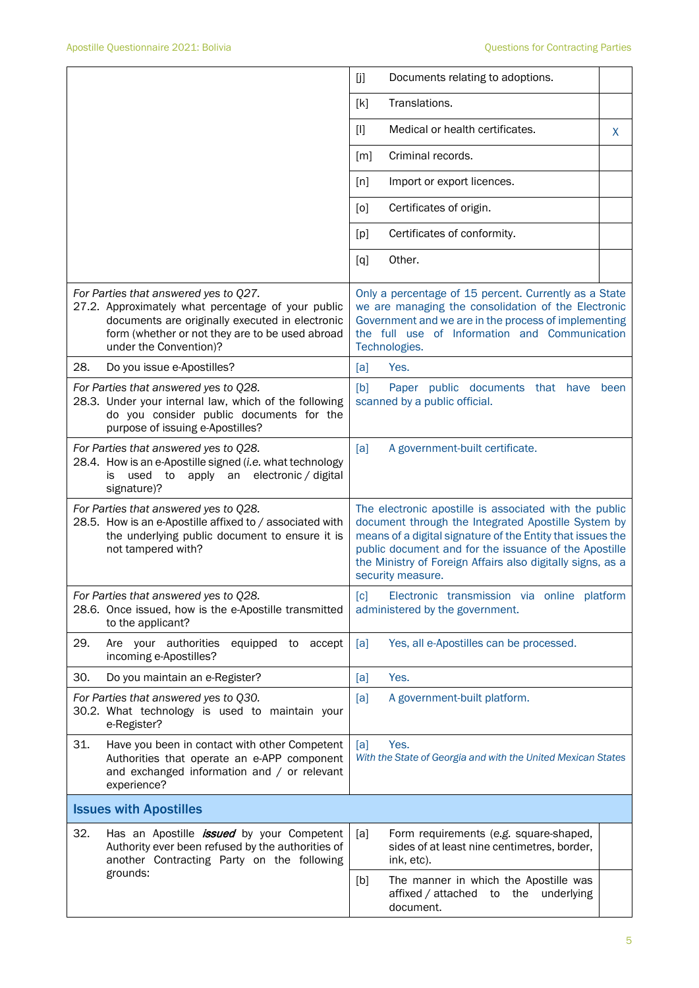|                                                                                                                                                                                                                             | Documents relating to adoptions.<br>[j]                                                                                                                                                                                                                                                                                 |  |  |
|-----------------------------------------------------------------------------------------------------------------------------------------------------------------------------------------------------------------------------|-------------------------------------------------------------------------------------------------------------------------------------------------------------------------------------------------------------------------------------------------------------------------------------------------------------------------|--|--|
|                                                                                                                                                                                                                             | Translations.<br>[k]                                                                                                                                                                                                                                                                                                    |  |  |
|                                                                                                                                                                                                                             | Medical or health certificates.<br>$[]$<br>X                                                                                                                                                                                                                                                                            |  |  |
|                                                                                                                                                                                                                             | Criminal records.<br>[m]                                                                                                                                                                                                                                                                                                |  |  |
|                                                                                                                                                                                                                             | [n]<br>Import or export licences.                                                                                                                                                                                                                                                                                       |  |  |
|                                                                                                                                                                                                                             | Certificates of origin.<br>[0]                                                                                                                                                                                                                                                                                          |  |  |
|                                                                                                                                                                                                                             | Certificates of conformity.<br>[p]                                                                                                                                                                                                                                                                                      |  |  |
|                                                                                                                                                                                                                             | Other.<br>[q]                                                                                                                                                                                                                                                                                                           |  |  |
| For Parties that answered yes to Q27.<br>27.2. Approximately what percentage of your public<br>documents are originally executed in electronic<br>form (whether or not they are to be used abroad<br>under the Convention)? | Only a percentage of 15 percent. Currently as a State<br>we are managing the consolidation of the Electronic<br>Government and we are in the process of implementing<br>the full use of Information and Communication<br>Technologies.                                                                                  |  |  |
| 28.<br>Do you issue e-Apostilles?                                                                                                                                                                                           | Yes.<br>[a]                                                                                                                                                                                                                                                                                                             |  |  |
| For Parties that answered yes to Q28.<br>28.3. Under your internal law, which of the following<br>do you consider public documents for the<br>purpose of issuing e-Apostilles?                                              | [b]<br>Paper public documents that have<br>been<br>scanned by a public official.                                                                                                                                                                                                                                        |  |  |
| For Parties that answered yes to Q28.<br>28.4. How is an e-Apostille signed (i.e. what technology<br>used<br>apply an<br>electronic / digital<br>is<br>to<br>signature)?                                                    | A government-built certificate.<br>[a]                                                                                                                                                                                                                                                                                  |  |  |
| For Parties that answered yes to Q28.<br>28.5. How is an e-Apostille affixed to / associated with<br>the underlying public document to ensure it is<br>not tampered with?                                                   | The electronic apostille is associated with the public<br>document through the Integrated Apostille System by<br>means of a digital signature of the Entity that issues the<br>public document and for the issuance of the Apostille<br>the Ministry of Foreign Affairs also digitally signs, as a<br>security measure. |  |  |
| For Parties that answered yes to Q28.<br>28.6. Once issued, how is the e-Apostille transmitted<br>to the applicant?                                                                                                         | Electronic transmission via online platform<br>[c]<br>administered by the government.                                                                                                                                                                                                                                   |  |  |
| 29.<br>Are your authorities<br>equipped to accept<br>incoming e-Apostilles?                                                                                                                                                 | Yes, all e-Apostilles can be processed.<br>[a]                                                                                                                                                                                                                                                                          |  |  |
| 30.<br>Do you maintain an e-Register?                                                                                                                                                                                       | Yes.<br>[a]                                                                                                                                                                                                                                                                                                             |  |  |
| For Parties that answered yes to Q30.<br>30.2. What technology is used to maintain your<br>e-Register?                                                                                                                      | A government-built platform.<br>[a]                                                                                                                                                                                                                                                                                     |  |  |
| 31.<br>Have you been in contact with other Competent<br>Authorities that operate an e-APP component<br>and exchanged information and / or relevant<br>experience?                                                           | [a]<br>Yes.<br>With the State of Georgia and with the United Mexican States                                                                                                                                                                                                                                             |  |  |
| <b>Issues with Apostilles</b>                                                                                                                                                                                               |                                                                                                                                                                                                                                                                                                                         |  |  |
| 32.<br>Has an Apostille <i>issued</i> by your Competent<br>Authority ever been refused by the authorities of<br>another Contracting Party on the following                                                                  | [a]<br>Form requirements (e.g. square-shaped,<br>sides of at least nine centimetres, border,<br>ink, etc).                                                                                                                                                                                                              |  |  |
| grounds:                                                                                                                                                                                                                    | [b]<br>The manner in which the Apostille was<br>affixed / attached to the underlying<br>document.                                                                                                                                                                                                                       |  |  |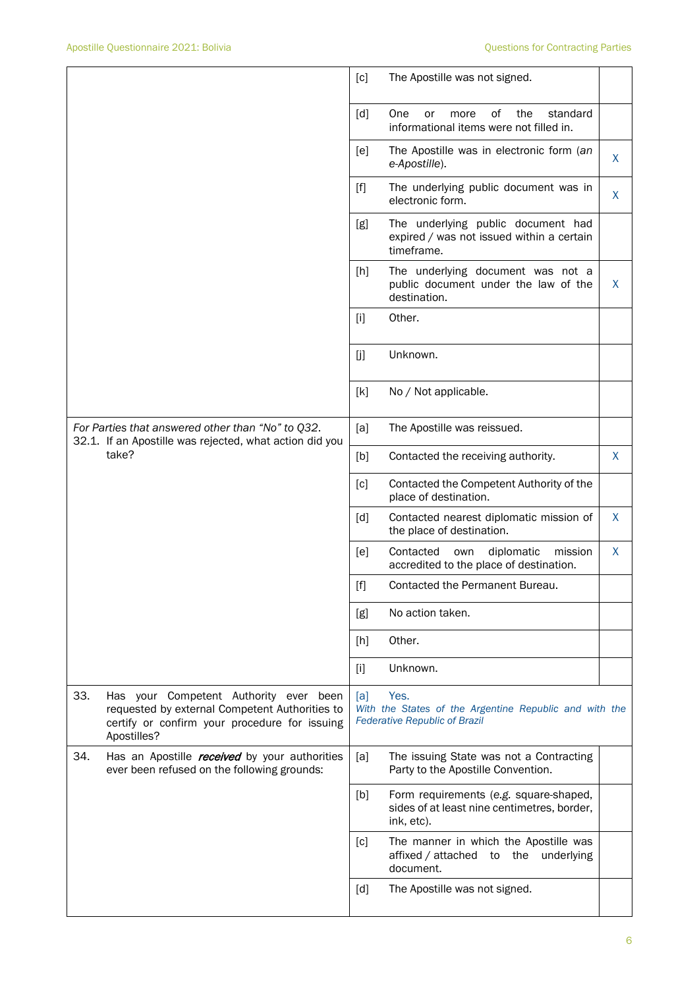|                                                                                                                       |                                                                                                                                                          | [c]                                | The Apostille was not signed.                                                                          |              |
|-----------------------------------------------------------------------------------------------------------------------|----------------------------------------------------------------------------------------------------------------------------------------------------------|------------------------------------|--------------------------------------------------------------------------------------------------------|--------------|
|                                                                                                                       |                                                                                                                                                          | [d]                                | One<br>of<br>the<br>standard<br>or<br>more<br>informational items were not filled in.                  |              |
|                                                                                                                       |                                                                                                                                                          | [e]                                | The Apostille was in electronic form (an<br>e-Apostille).                                              | X            |
|                                                                                                                       |                                                                                                                                                          | $[f]$                              | The underlying public document was in<br>electronic form.                                              | X            |
|                                                                                                                       |                                                                                                                                                          | [g]                                | The underlying public document had<br>expired / was not issued within a certain<br>timeframe.          |              |
|                                                                                                                       |                                                                                                                                                          | [h]                                | The underlying document was not a<br>public document under the law of the<br>destination.              | X            |
|                                                                                                                       |                                                                                                                                                          | $[1]$                              | Other.                                                                                                 |              |
|                                                                                                                       |                                                                                                                                                          | [j]                                | Unknown.                                                                                               |              |
|                                                                                                                       |                                                                                                                                                          | [k]                                | No / Not applicable.                                                                                   |              |
| For Parties that answered other than "No" to Q32.<br>32.1. If an Apostille was rejected, what action did you<br>take? | [a]                                                                                                                                                      | The Apostille was reissued.        |                                                                                                        |              |
|                                                                                                                       | [b]                                                                                                                                                      | Contacted the receiving authority. | X                                                                                                      |              |
|                                                                                                                       |                                                                                                                                                          | [c]                                | Contacted the Competent Authority of the<br>place of destination.                                      |              |
|                                                                                                                       |                                                                                                                                                          | [d]                                | Contacted nearest diplomatic mission of<br>the place of destination.                                   | $\mathsf{X}$ |
|                                                                                                                       |                                                                                                                                                          | [e]                                | Contacted<br>diplomatic<br>mission<br>own<br>accredited to the place of destination.                   | X            |
|                                                                                                                       |                                                                                                                                                          | [f]                                | Contacted the Permanent Bureau.                                                                        |              |
|                                                                                                                       |                                                                                                                                                          | [g]                                | No action taken.                                                                                       |              |
|                                                                                                                       |                                                                                                                                                          | [h]                                | Other.                                                                                                 |              |
|                                                                                                                       |                                                                                                                                                          | $[1]$                              | Unknown.                                                                                               |              |
| 33.                                                                                                                   | Has your Competent Authority ever been<br>requested by external Competent Authorities to<br>certify or confirm your procedure for issuing<br>Apostilles? | [a]                                | Yes.<br>With the States of the Argentine Republic and with the<br><b>Federative Republic of Brazil</b> |              |
| 34.                                                                                                                   | Has an Apostille <i>received</i> by your authorities<br>ever been refused on the following grounds:                                                      | [a]                                | The issuing State was not a Contracting<br>Party to the Apostille Convention.                          |              |
|                                                                                                                       |                                                                                                                                                          | [b]                                | Form requirements (e.g. square-shaped,<br>sides of at least nine centimetres, border,<br>ink, etc).    |              |
|                                                                                                                       |                                                                                                                                                          | [c]                                | The manner in which the Apostille was<br>affixed / attached<br>to the underlying<br>document.          |              |
|                                                                                                                       |                                                                                                                                                          | [d]                                | The Apostille was not signed.                                                                          |              |